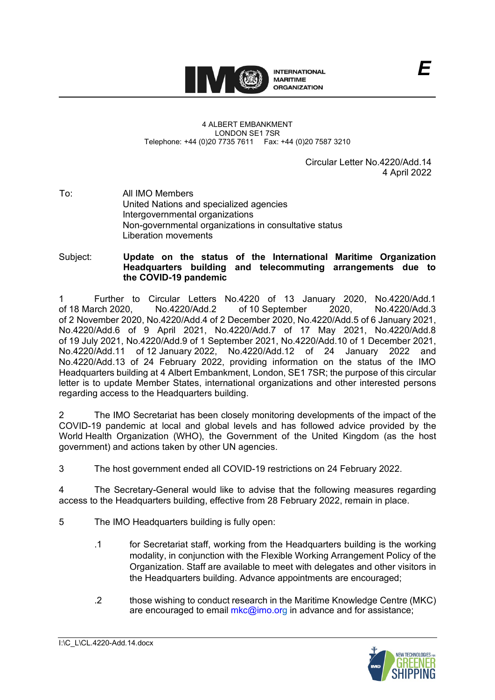

## 4 ALBERT EMBANKMENT LONDON SE1 7SR Telephone: +44 (0)20 7735 7611 Fax: +44 (0)20 7587 3210

Circular Letter No.4220/Add.14 4 April 2022

To: All IMO Members United Nations and specialized agencies Intergovernmental organizations Non-governmental organizations in consultative status Liberation movements

Subject: **Update on the status of the International Maritime Organization Headquarters building and telecommuting arrangements due to the COVID-19 pandemic**

1 Further to Circular Letters No.4220 of 13 January 2020, No.4220/Add.1 of 18 March 2020, No.4220/Add.2 of 10 September 2020, of 2 November 2020, No.4220/Add.4 of 2 December 2020, No.4220/Add.5 of 6 January 2021, No.4220/Add.6 of 9 April 2021, No.4220/Add.7 of 17 May 2021, No.4220/Add.8 of 19 July 2021, No.4220/Add.9 of 1 September 2021, No.4220/Add.10 of 1 December 2021, No.4220/Add.11 of 12 January 2022, No.4220/Add.12 of 24 January 2022 and No.4220/Add.13 of 24 February 2022, providing information on the status of the IMO Headquarters building at 4 Albert Embankment, London, SE1 7SR; the purpose of this circular letter is to update Member States, international organizations and other interested persons regarding access to the Headquarters building.

2 The IMO Secretariat has been closely monitoring developments of the impact of the COVID-19 pandemic at local and global levels and has followed advice provided by the World Health Organization (WHO), the Government of the United Kingdom (as the host government) and actions taken by other UN agencies.

3 The host government ended all COVID-19 restrictions on 24 February 2022.

4 The Secretary-General would like to advise that the following measures regarding access to the Headquarters building, effective from 28 February 2022, remain in place.

- 5 The IMO Headquarters building is fully open:
	- .1 for Secretariat staff, working from the Headquarters building is the working modality, in conjunction with the Flexible Working Arrangement Policy of the Organization. Staff are available to meet with delegates and other visitors in the Headquarters building. Advance appointments are encouraged;
	- .2 those wishing to conduct research in the Maritime Knowledge Centre (MKC) are encouraged to email [mkc@imo.org](mailto:mkc@imo.org) in advance and for assistance;